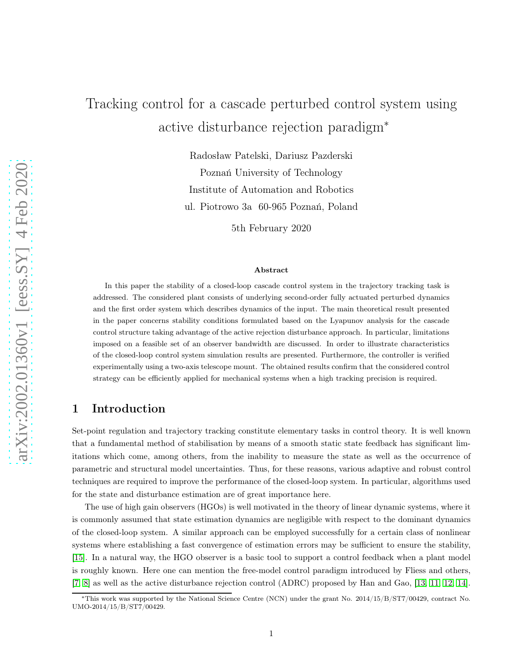# Tracking control for a cascade perturbed control system using active disturbance rejection paradigm<sup>∗</sup>

Radosław Patelski, Dariusz Pazderski Poznań University of Technology Institute of Automation and Robotics ul. Piotrowo 3a 60-965 Poznań, Poland

5th February 2020

#### Abstract

In this paper the stability of a closed-loop cascade control system in the trajectory tracking task is addressed. The considered plant consists of underlying second-order fully actuated perturbed dynamics and the first order system which describes dynamics of the input. The main theoretical result presented in the paper concerns stability conditions formulated based on the Lyapunov analysis for the cascade control structure taking advantage of the active rejection disturbance approach. In particular, limitations imposed on a feasible set of an observer bandwidth are discussed. In order to illustrate characteristics of the closed-loop control system simulation results are presented. Furthermore, the controller is verified experimentally using a two-axis telescope mount. The obtained results confirm that the considered control strategy can be efficiently applied for mechanical systems when a high tracking precision is required.

# 1 Introduction

Set-point regulation and trajectory tracking constitute elementary tasks in control theory. It is well known that a fundamental method of stabilisation by means of a smooth static state feedback has significant limitations which come, among others, from the inability to measure the state as well as the occurrence of parametric and structural model uncertainties. Thus, for these reasons, various adaptive and robust control techniques are required to improve the performance of the closed-loop system. In particular, algorithms used for the state and disturbance estimation are of great importance here.

The use of high gain observers (HGOs) is well motivated in the theory of linear dynamic systems, where it is commonly assumed that state estimation dynamics are negligible with respect to the dominant dynamics of the closed-loop system. A similar approach can be employed successfully for a certain class of nonlinear systems where establishing a fast convergence of estimation errors may be sufficient to ensure the stability, [\[15\]](#page-16-0). In a natural way, the HGO observer is a basic tool to support a control feedback when a plant model is roughly known. Here one can mention the free-model control paradigm introduced by Fliess and others, [\[7,](#page-15-0) [8\]](#page-15-1) as well as the active disturbance rejection control (ADRC) proposed by Han and Gao, [\[13,](#page-16-1) [11,](#page-15-2) [12,](#page-15-3) [14\]](#page-16-2).

<sup>∗</sup>This work was supported by the National Science Centre (NCN) under the grant No. 2014/15/B/ST7/00429, contract No. UMO-2014/15/B/ST7/00429.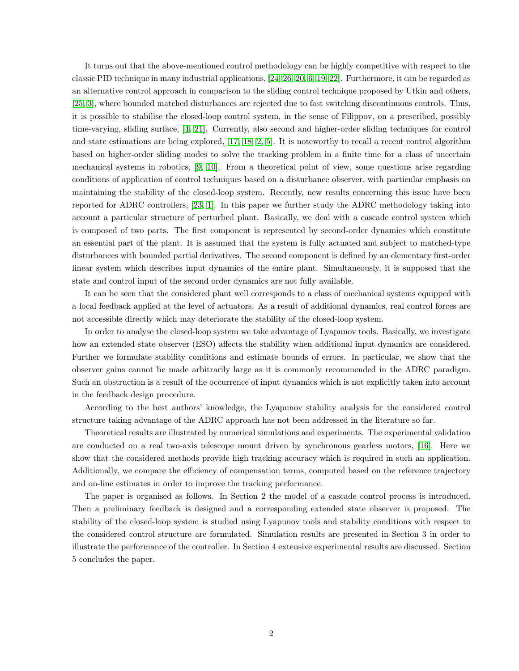It turns out that the above-mentioned control methodology can be highly competitive with respect to the classic PID technique in many industrial applications, [\[24,](#page-16-3) [26,](#page-16-4) [20,](#page-16-5) [6,](#page-15-4) [19,](#page-16-6) [22\]](#page-16-7). Furthermore, it can be regarded as an alternative control approach in comparison to the sliding control technique proposed by Utkin and others, [\[25,](#page-16-8) [3\]](#page-15-5), where bounded matched disturbances are rejected due to fast switching discontinuous controls. Thus, it is possible to stabilise the closed-loop control system, in the sense of Filippov, on a prescribed, possibly time-varying, sliding surface, [\[4,](#page-15-6) [21\]](#page-16-9). Currently, also second and higher-order sliding techniques for control and state estimations are being explored, [\[17,](#page-16-10) [18,](#page-16-11) [2,](#page-15-7) [5\]](#page-15-8). It is noteworthy to recall a recent control algorithm based on higher-order sliding modes to solve the tracking problem in a finite time for a class of uncertain mechanical systems in robotics, [\[9,](#page-15-9) [10\]](#page-15-10). From a theoretical point of view, some questions arise regarding conditions of application of control techniques based on a disturbance observer, with particular emphasis on maintaining the stability of the closed-loop system. Recently, new results concerning this issue have been reported for ADRC controllers, [\[23,](#page-16-12) [1\]](#page-15-11). In this paper we further study the ADRC methodology taking into account a particular structure of perturbed plant. Basically, we deal with a cascade control system which is composed of two parts. The first component is represented by second-order dynamics which constitute an essential part of the plant. It is assumed that the system is fully actuated and subject to matched-type disturbances with bounded partial derivatives. The second component is defined by an elementary first-order linear system which describes input dynamics of the entire plant. Simultaneously, it is supposed that the state and control input of the second order dynamics are not fully available.

It can be seen that the considered plant well corresponds to a class of mechanical systems equipped with a local feedback applied at the level of actuators. As a result of additional dynamics, real control forces are not accessible directly which may deteriorate the stability of the closed-loop system.

In order to analyse the closed-loop system we take advantage of Lyapunov tools. Basically, we investigate how an extended state observer (ESO) affects the stability when additional input dynamics are considered. Further we formulate stability conditions and estimate bounds of errors. In particular, we show that the observer gains cannot be made arbitrarily large as it is commonly recommended in the ADRC paradigm. Such an obstruction is a result of the occurrence of input dynamics which is not explicitly taken into account in the feedback design procedure.

According to the best authors' knowledge, the Lyapunov stability analysis for the considered control structure taking advantage of the ADRC approach has not been addressed in the literature so far.

Theoretical results are illustrated by numerical simulations and experiments. The experimental validation are conducted on a real two-axis telescope mount driven by synchronous gearless motors, [\[16\]](#page-16-13). Here we show that the considered methods provide high tracking accuracy which is required in such an application. Additionally, we compare the efficiency of compensation terms, computed based on the reference trajectory and on-line estimates in order to improve the tracking performance.

The paper is organised as follows. In Section 2 the model of a cascade control process is introduced. Then a preliminary feedback is designed and a corresponding extended state observer is proposed. The stability of the closed-loop system is studied using Lyapunov tools and stability conditions with respect to the considered control structure are formulated. Simulation results are presented in Section 3 in order to illustrate the performance of the controller. In Section 4 extensive experimental results are discussed. Section 5 concludes the paper.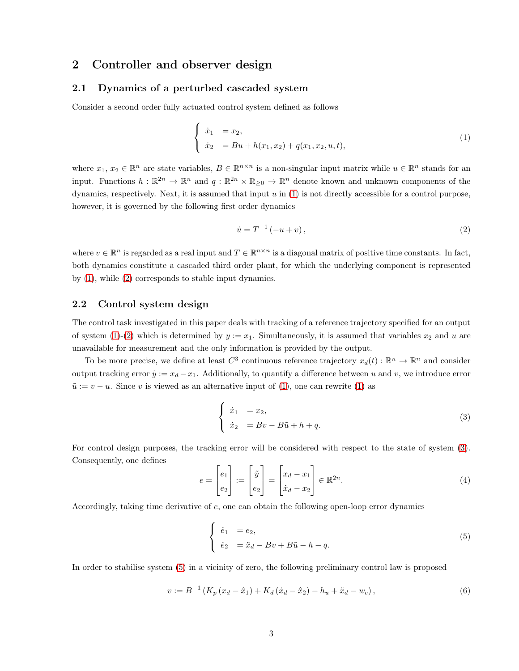## 2 Controller and observer design

#### 2.1 Dynamics of a perturbed cascaded system

Consider a second order fully actuated control system defined as follows

<span id="page-2-0"></span>
$$
\begin{cases}\n\dot{x}_1 = x_2, \\
\dot{x}_2 = Bu + h(x_1, x_2) + q(x_1, x_2, u, t),\n\end{cases}
$$
\n(1)

where  $x_1, x_2 \in \mathbb{R}^n$  are state variables,  $B \in \mathbb{R}^{n \times n}$  is a non-singular input matrix while  $u \in \mathbb{R}^n$  stands for an input. Functions  $h: \mathbb{R}^{2n} \to \mathbb{R}^n$  and  $q: \mathbb{R}^{2n} \times \mathbb{R}_{\geq 0} \to \mathbb{R}^n$  denote known and unknown components of the dynamics, respectively. Next, it is assumed that input  $u$  in  $(1)$  is not directly accessible for a control purpose, however, it is governed by the following first order dynamics

<span id="page-2-1"></span>
$$
\dot{u} = T^{-1}(-u+v),
$$
\n(2)

where  $v \in \mathbb{R}^n$  is regarded as a real input and  $T \in \mathbb{R}^{n \times n}$  is a diagonal matrix of positive time constants. In fact, both dynamics constitute a cascaded third order plant, for which the underlying component is represented by [\(1\)](#page-2-0), while [\(2\)](#page-2-1) corresponds to stable input dynamics.

#### 2.2 Control system design

The control task investigated in this paper deals with tracking of a reference trajectory specified for an output of system [\(1\)](#page-2-0)-[\(2\)](#page-2-1) which is determined by  $y := x_1$ . Simultaneously, it is assumed that variables  $x_2$  and u are unavailable for measurement and the only information is provided by the output.

To be more precise, we define at least  $C^3$  continuous reference trajectory  $x_d(t) : \mathbb{R}^n \to \mathbb{R}^n$  and consider output tracking error  $\tilde{y} := x_d - x_1$ . Additionally, to quantify a difference between u and v, we introduce error  $\tilde{u} := v - u$ . Since v is viewed as an alternative input of [\(1\)](#page-2-0), one can rewrite (1) as

<span id="page-2-2"></span>
$$
\begin{cases}\n\dot{x}_1 &= x_2, \\
\dot{x}_2 &= Bv - B\tilde{u} + h + q.\n\end{cases}
$$
\n(3)

For control design purposes, the tracking error will be considered with respect to the state of system [\(3\)](#page-2-2). Consequently, one defines

$$
e = \begin{bmatrix} e_1 \\ e_2 \end{bmatrix} := \begin{bmatrix} \tilde{y} \\ e_2 \end{bmatrix} = \begin{bmatrix} x_d - x_1 \\ \dot{x}_d - x_2 \end{bmatrix} \in \mathbb{R}^{2n}.
$$
 (4)

Accordingly, taking time derivative of  $e$ , one can obtain the following open-loop error dynamics

<span id="page-2-3"></span>
$$
\begin{cases}\n\dot{e}_1 &= e_2, \\
\dot{e}_2 &= \ddot{x}_d - Bv + B\tilde{u} - h - q.\n\end{cases}
$$
\n(5)

In order to stabilise system [\(5\)](#page-2-3) in a vicinity of zero, the following preliminary control law is proposed

<span id="page-2-4"></span>
$$
v := B^{-1} \left( K_p \left( x_d - \hat{x}_1 \right) + K_d \left( \hat{x}_d - \hat{x}_2 \right) - h_u + \hat{x}_d - w_c \right), \tag{6}
$$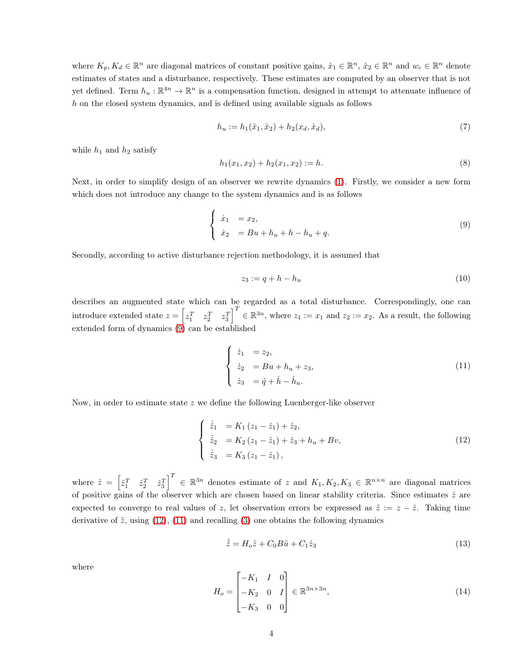where  $K_p, K_d \in \mathbb{R}^n$  are diagonal matrices of constant positive gains,  $\hat{x}_1 \in \mathbb{R}^n$ ,  $\hat{x}_2 \in \mathbb{R}^n$  and  $w_c \in \mathbb{R}^n$  denote estimates of states and a disturbance, respectively. These estimates are computed by an observer that is not yet defined. Term  $h_u : \mathbb{R}^{4n} \to \mathbb{R}^n$  is a compensation function, designed in attempt to attenuate influence of  $h$  on the closed system dynamics, and is defined using available signals as follows

$$
h_u := h_1(\hat{x}_1, \hat{x}_2) + h_2(x_d, \dot{x}_d),\tag{7}
$$

while  $h_1$  and  $h_2$  satisfy

$$
h_1(x_1, x_2) + h_2(x_1, x_2) := h. \tag{8}
$$

Next, in order to simplify design of an observer we rewrite dynamics [\(1\)](#page-2-0). Firstly, we consider a new form which does not introduce any change to the system dynamics and is as follows

<span id="page-3-0"></span>
$$
\begin{cases} \n\dot{x}_1 = x_2, \\
\dot{x}_2 = Bu + h_u + h - h_u + q. \n\end{cases} \n(9)
$$

Secondly, according to active disturbance rejection methodology, it is assumed that

$$
z_3 := q + h - h_u \tag{10}
$$

describes an augmented state which can be regarded as a total disturbance. Correspondingly, one can introduce extended state  $z = \begin{bmatrix} z_1^T & z_2^T & z_3^T \end{bmatrix}^T \in \mathbb{R}^{3n}$ , where  $z_1 := x_1$  and  $z_2 := x_2$ . As a result, the following extended form of dynamics  $(9)$  can be established

<span id="page-3-2"></span>
$$
\begin{cases}\n\dot{z}_1 &= z_2, \\
\dot{z}_2 &= Bu + h_u + z_3, \\
\dot{z}_3 &= \dot{q} + \dot{h} - \dot{h}_u.\n\end{cases}
$$
\n(11)

Now, in order to estimate state  $z$  we define the following Luenberger-like observer

<span id="page-3-1"></span>
$$
\begin{cases}\n\dot{\hat{z}}_1 = K_1 (z_1 - \hat{z}_1) + \hat{z}_2, \\
\dot{\hat{z}}_2 = K_2 (z_1 - \hat{z}_1) + \hat{z}_3 + h_u + Bv, \\
\dot{\hat{z}}_3 = K_3 (z_1 - \hat{z}_1),\n\end{cases}
$$
\n(12)

where  $\hat{z} = \begin{bmatrix} \hat{z}_1^T & \hat{z}_2^T & \hat{z}_3^T \end{bmatrix}^T \in \mathbb{R}^{3n}$  denotes estimate of z and  $K_1, K_2, K_3 \in \mathbb{R}^{n \times n}$  are diagonal matrices of positive gains of the observer which are chosen based on linear stability criteria. Since estimates  $\hat{z}$  are expected to converge to real values of z, let observation errors be expressed as  $\tilde{z} := z - \hat{z}$ . Taking time derivative of  $\tilde{z}$ , using [\(12\)](#page-3-1), [\(11\)](#page-3-2) and recalling [\(3\)](#page-2-2) one obtains the following dynamics

<span id="page-3-3"></span>
$$
\dot{\tilde{z}} = H_o \tilde{z} + C_0 B \tilde{u} + C_1 \dot{z}_3 \tag{13}
$$

where

<span id="page-3-4"></span>
$$
H_o = \begin{bmatrix} -K_1 & I & 0 \\ -K_2 & 0 & I \\ -K_3 & 0 & 0 \end{bmatrix} \in \mathbb{R}^{3n \times 3n},
$$
\n(14)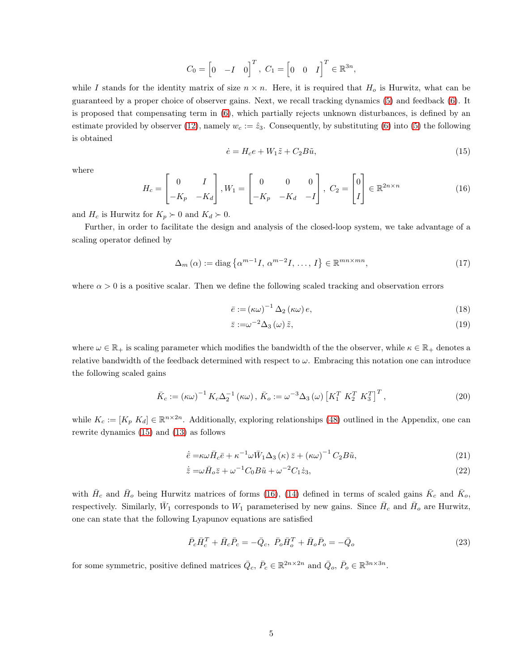$$
C_0 = \begin{bmatrix} 0 & -I & 0 \end{bmatrix}^T, \ C_1 = \begin{bmatrix} 0 & 0 & I \end{bmatrix}^T \in \mathbb{R}^{3n},
$$

while I stands for the identity matrix of size  $n \times n$ . Here, it is required that  $H_o$  is Hurwitz, what can be guaranteed by a proper choice of observer gains. Next, we recall tracking dynamics [\(5\)](#page-2-3) and feedback [\(6\)](#page-2-4). It is proposed that compensating term in [\(6\)](#page-2-4), which partially rejects unknown disturbances, is defined by an estimate provided by observer [\(12\)](#page-3-1), namely  $w_c := \hat{z}_3$ . Consequently, by substituting [\(6\)](#page-2-4) into [\(5\)](#page-2-3) the following is obtained

<span id="page-4-0"></span>
$$
\dot{e} = H_c e + W_1 \tilde{z} + C_2 B \tilde{u},\tag{15}
$$

where

<span id="page-4-1"></span>
$$
H_c = \begin{bmatrix} 0 & I \\ -K_p & -K_d \end{bmatrix}, W_1 = \begin{bmatrix} 0 & 0 & 0 \\ -K_p & -K_d & -I \end{bmatrix}, C_2 = \begin{bmatrix} 0 \\ I \end{bmatrix} \in \mathbb{R}^{2n \times n}
$$
(16)

and  $H_c$  is Hurwitz for  $K_p \succ 0$  and  $K_d \succ 0$ .

Further, in order to facilitate the design and analysis of the closed-loop system, we take advantage of a scaling operator defined by

$$
\Delta_m\left(\alpha\right) := \text{diag}\left\{\alpha^{m-1}I, \, \alpha^{m-2}I, \, \dots, \, I\right\} \in \mathbb{R}^{mn \times mn},\tag{17}
$$

where  $\alpha > 0$  is a positive scalar. Then we define the following scaled tracking and observation errors

<span id="page-4-2"></span>
$$
\bar{e} := (\kappa \omega)^{-1} \Delta_2 (\kappa \omega) e, \tag{18}
$$

<span id="page-4-3"></span>
$$
\bar{z} := \omega^{-2} \Delta_3(\omega) \, \tilde{z},\tag{19}
$$

where  $\omega \in \mathbb{R}_+$  is scaling parameter which modifies the bandwidth of the the observer, while  $\kappa \in \mathbb{R}_+$  denotes a relative bandwidth of the feedback determined with respect to  $\omega$ . Embracing this notation one can introduce the following scaled gains

<span id="page-4-4"></span>
$$
\bar{K}_c := (\kappa \omega)^{-1} K_c \Delta_2^{-1} (\kappa \omega), \ \bar{K}_o := \omega^{-3} \Delta_3 (\omega) \left[ K_1^T K_2^T K_3^T \right]^T, \tag{20}
$$

while  $K_c := [K_p \ K_d] \in \mathbb{R}^{n \times 2n}$ . Additionally, exploring relationships [\(48\)](#page-14-0) outlined in the Appendix, one can rewrite dynamics [\(15\)](#page-4-0) and [\(13\)](#page-3-3) as follows

$$
\dot{\bar{e}} = \kappa \omega \bar{H}_c \bar{e} + \kappa^{-1} \omega \bar{W}_1 \Delta_3 \left(\kappa\right) \bar{z} + \left(\kappa \omega\right)^{-1} C_2 B \tilde{u},\tag{21}
$$

$$
\dot{\overline{z}} = \omega \overline{H}_o \overline{z} + \omega^{-1} C_0 B \tilde{u} + \omega^{-2} C_1 \dot{z}_3,
$$
\n
$$
(22)
$$

with  $\bar{H}_c$  and  $\bar{H}_o$  being Hurwitz matrices of forms [\(16\)](#page-4-1), [\(14\)](#page-3-4) defined in terms of scaled gains  $\bar{K}_c$  and  $\bar{K}_o$ , respectively. Similarly,  $\bar{W}_1$  corresponds to  $W_1$  parameterised by new gains. Since  $\bar{H}_c$  and  $\bar{H}_o$  are Hurwitz, one can state that the following Lyapunov equations are satisfied

$$
\bar{P}_c \bar{H}_c^T + \bar{H}_c \bar{P}_c = -\bar{Q}_c, \ \bar{P}_o \bar{H}_o^T + \bar{H}_o \bar{P}_o = -\bar{Q}_o \tag{23}
$$

for some symmetric, positive defined matrices  $\overline{Q}_c$ ,  $\overline{P}_c \in \mathbb{R}^{2n \times 2n}$  and  $\overline{Q}_o$ ,  $\overline{P}_o \in \mathbb{R}^{3n \times 3n}$ .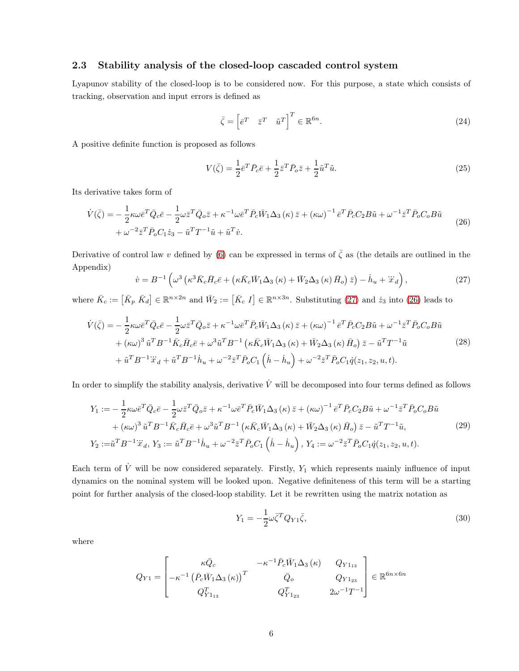#### 2.3 Stability analysis of the closed-loop cascaded control system

Lyapunov stability of the closed-loop is to be considered now. For this purpose, a state which consists of tracking, observation and input errors is defined as

$$
\bar{\zeta} = \begin{bmatrix} \bar{e}^T & \bar{z}^T & \tilde{u}^T \end{bmatrix}^T \in \mathbb{R}^{6n}.
$$
 (24)

A positive definite function is proposed as follows

$$
V(\bar{\zeta}) = \frac{1}{2}\bar{e}^T \bar{P}_c \bar{e} + \frac{1}{2}\bar{z}^T \bar{P}_o \bar{z} + \frac{1}{2}\tilde{u}^T \tilde{u}.
$$
\n(25)

Its derivative takes form of

<span id="page-5-1"></span>
$$
\dot{V}(\bar{\zeta}) = -\frac{1}{2}\kappa\omega\bar{e}^T\bar{Q}_c\bar{e} - \frac{1}{2}\omega\bar{z}^T\bar{Q}_c\bar{z} + \kappa^{-1}\omega\bar{e}^T\bar{P}_c\bar{W}_1\Delta_3(\kappa)\bar{z} + (\kappa\omega)^{-1}\bar{e}^T\bar{P}_cC_2B\tilde{u} + \omega^{-1}\bar{z}^T\bar{P}_oC_oB\tilde{u}
$$
\n
$$
+\omega^{-2}\bar{z}^T\bar{P}_oC_1\dot{z}_3 - \tilde{u}^TT^{-1}\tilde{u} + \tilde{u}^T\dot{v}.
$$
\n(26)

Derivative of control law v defined by [\(6\)](#page-2-4) can be expressed in terms of  $\bar{\zeta}$  as (the details are outlined in the Appendix)

<span id="page-5-0"></span>
$$
\dot{v} = B^{-1} \left( \omega^3 \left( \kappa^3 \bar{K}_c \bar{H}_c \bar{e} + \left( \kappa \bar{K}_c \bar{W}_1 \Delta_3 \left( \kappa \right) + \bar{W}_2 \Delta_3 \left( \kappa \right) \bar{H}_o \right) \bar{z} \right) - \dot{h}_u + \ddot{x}_d \right),\tag{27}
$$

where  $\bar{K}_c := [\bar{K}_p \ \bar{K}_d] \in \mathbb{R}^{n \times 2n}$  and  $\bar{W}_2 := [\bar{K}_c \ I] \in \mathbb{R}^{n \times 3n}$ . Substituting [\(27\)](#page-5-0) and  $\dot{z}_3$  into [\(26\)](#page-5-1) leads to

$$
\dot{V}(\bar{\zeta}) = -\frac{1}{2}\kappa\omega\bar{e}^{T}\bar{Q}_{c}\bar{e} - \frac{1}{2}\omega\bar{z}^{T}\bar{Q}_{o}\bar{z} + \kappa^{-1}\omega\bar{e}^{T}\bar{P}_{c}\bar{W}_{1}\Delta_{3}(\kappa)\bar{z} + (\kappa\omega)^{-1}\bar{e}^{T}\bar{P}_{c}C_{2}B\tilde{u} + \omega^{-1}\bar{z}^{T}\bar{P}_{o}C_{o}B\tilde{u} \n+ (\kappa\omega)^{3}\tilde{u}^{T}B^{-1}\bar{K}_{c}\bar{H}_{c}\bar{e} + \omega^{3}\tilde{u}^{T}B^{-1} (\kappa\bar{K}_{c}\bar{W}_{1}\Delta_{3}(\kappa) + \bar{W}_{2}\Delta_{3}(\kappa)\bar{H}_{o})\bar{z} - \tilde{u}^{T}T^{-1}\tilde{u} \n+ \tilde{u}^{T}B^{-1}\ddot{x}_{d} + \tilde{u}^{T}B^{-1}\dot{h}_{u} + \omega^{-2}\bar{z}^{T}\bar{P}_{o}C_{1}(\dot{h} - \dot{h}_{u}) + \omega^{-2}\bar{z}^{T}\bar{P}_{o}C_{1}\dot{q}(z_{1}, z_{2}, u, t).
$$
\n(28)

In order to simplify the stability analysis, derivative  $\dot{V}$  will be decomposed into four terms defined as follows

$$
Y_{1} := -\frac{1}{2}\kappa\omega\bar{e}^{T}\bar{Q}_{c}\bar{e} - \frac{1}{2}\omega\bar{z}^{T}\bar{Q}_{o}\bar{z} + \kappa^{-1}\omega\bar{e}^{T}\bar{P}_{c}\bar{W}_{1}\Delta_{3}(\kappa)\bar{z} + (\kappa\omega)^{-1}\bar{e}^{T}\bar{P}_{c}C_{2}B\tilde{u} + \omega^{-1}\bar{z}^{T}\bar{P}_{o}C_{o}B\tilde{u} + (\kappa\omega)^{3}\tilde{u}^{T}B^{-1}\bar{K}_{c}\bar{H}_{c}\bar{e} + \omega^{3}\tilde{u}^{T}B^{-1} (\kappa\bar{K}_{c}\bar{W}_{1}\Delta_{3}(\kappa) + \bar{W}_{2}\Delta_{3}(\kappa)\bar{H}_{o})\bar{z} - \tilde{u}^{T}T^{-1}\tilde{u},
$$
\n
$$
Y_{2} := \tilde{u}^{T}B^{-1}\ddot{x}_{d}, Y_{3} := \tilde{u}^{T}B^{-1}\dot{h}_{u} + \omega^{-2}\bar{z}^{T}\bar{P}_{o}C_{1}(\dot{h} - \dot{h}_{u}), Y_{4} := \omega^{-2}\bar{z}^{T}\bar{P}_{o}C_{1}\dot{q}(z_{1}, z_{2}, u, t).
$$
\n
$$
(29)
$$

Each term of  $\dot{V}$  will be now considered separately. Firstly,  $Y_1$  which represents mainly influence of input dynamics on the nominal system will be looked upon. Negative definiteness of this term will be a starting point for further analysis of the closed-loop stability. Let it be rewritten using the matrix notation as

<span id="page-5-2"></span>
$$
Y_1 = -\frac{1}{2}\omega \bar{\zeta}^T Q_{Y1} \bar{\zeta},\tag{30}
$$

where

$$
Q_{Y1} = \begin{bmatrix} \kappa \bar{Q}_{c} & -\kappa^{-1} \bar{P}_{c} \bar{W}_{1} \Delta_{3} (\kappa) & Q_{Y1_{13}} \\ -\kappa^{-1} \left( \bar{P}_{c} \bar{W}_{1} \Delta_{3} (\kappa) \right)^{T} & \bar{Q}_{o} & Q_{Y1_{23}} \\ Q_{Y1_{13}}^{T} & Q_{Y1_{23}}^{T} & 2\omega^{-1} T^{-1} \end{bmatrix} \in \mathbb{R}^{6n \times 6n}
$$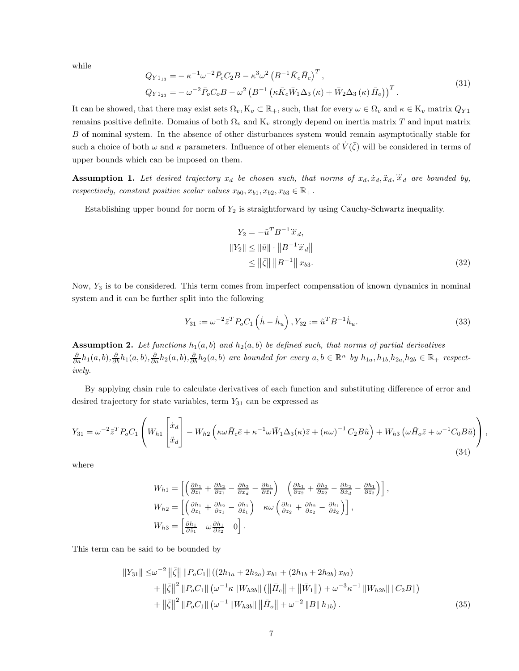while

$$
Q_{Y1_{13}} = -\kappa^{-1} \omega^{-2} \bar{P}_c C_2 B - \kappa^3 \omega^2 \left( B^{-1} \bar{K}_c \bar{H}_c \right)^T, Q_{Y1_{23}} = -\omega^{-2} \bar{P}_o C_o B - \omega^2 \left( B^{-1} \left( \kappa \bar{K}_c \bar{W}_1 \Delta_3 \left( \kappa \right) + \bar{W}_2 \Delta_3 \left( \kappa \right) \bar{H}_o \right) \right)^T.
$$
\n(31)

It can be showed, that there may exist sets  $\Omega_v, K_v \subset \mathbb{R}_+$ , such, that for every  $\omega \in \Omega_v$  and  $\kappa \in K_v$  matrix  $Q_{Y1}$ remains positive definite. Domains of both  $\Omega_v$  and K<sub>v</sub> strongly depend on inertia matrix T and input matrix B of nominal system. In the absence of other disturbances system would remain asymptotically stable for such a choice of both  $\omega$  and  $\kappa$  parameters. Influence of other elements of  $\dot{V}(\bar{\zeta})$  will be considered in terms of upper bounds which can be imposed on them.

<span id="page-6-0"></span>**Assumption 1.** Let desired trajectory  $x_d$  be chosen such, that norms of  $x_d$ ,  $\ddot{x}_d$ ,  $\dddot{x}_d$ ,  $\dddot{x}_d$  are bounded by, respectively, constant positive scalar values  $x_{b0}, x_{b1}, x_{b2}, x_{b3} \in \mathbb{R}_+$ .

Establishing upper bound for norm of  $Y_2$  is straightforward by using Cauchy-Schwartz inequality.

$$
Y_2 = -\tilde{u}^T B^{-1} \ddot{x}_d,
$$
  
\n
$$
||Y_2|| \le ||\tilde{u}|| \cdot ||B^{-1} \ddot{x}_d||
$$
  
\n
$$
\le ||\bar{\zeta}|| ||B^{-1}|| x_{b3}.
$$
\n(32)

Now, Y<sup>3</sup> is to be considered. This term comes from imperfect compensation of known dynamics in nominal system and it can be further split into the following

$$
Y_{31} := \omega^{-2} \bar{z}^T P_o C_1 \left( \dot{h} - \dot{h}_u \right), Y_{32} := \tilde{u}^T B^{-1} \dot{h}_u.
$$
\n(33)

<span id="page-6-1"></span>**Assumption 2.** Let functions  $h_1(a, b)$  and  $h_2(a, b)$  be defined such, that norms of partial derivatives  $\frac{\partial}{\partial a}h_1(a,b), \frac{\partial}{\partial b}h_1(a,b), \frac{\partial}{\partial a}h_2(a,b), \frac{\partial}{\partial b}h_2(a,b)$  are bounded for every  $a, b \in \mathbb{R}^n$  by  $h_{1a}, h_{1b}, h_{2a}, h_{2b} \in \mathbb{R}_+$  respectively.

By applying chain rule to calculate derivatives of each function and substituting difference of error and desired trajectory for state variables, term  $Y_{31}$  can be expressed as

$$
Y_{31} = \omega^{-2} \bar{z}^T P_o C_1 \left( W_{h1} \begin{bmatrix} \dot{x}_d \\ \ddot{x}_d \end{bmatrix} - W_{h2} \left( \kappa \omega \bar{H}_c \bar{e} + \kappa^{-1} \omega \bar{W}_1 \Delta_3(\kappa) \bar{z} + (\kappa \omega)^{-1} C_2 B \tilde{u} \right) + W_{h3} \left( \omega \bar{H}_o \bar{z} + \omega^{-1} C_0 B \tilde{u} \right) \right), \tag{34}
$$

where

$$
W_{h1} = \left[ \left( \frac{\partial h_1}{\partial z_1} + \frac{\partial h_2}{\partial z_1} - \frac{\partial h_2}{\partial x_d} - \frac{\partial h_1}{\partial \hat{z}_1} \right) \left( \frac{\partial h_1}{\partial z_2} + \frac{\partial h_2}{\partial z_2} - \frac{\partial h_2}{\partial \hat{z}_d} - \frac{\partial h_1}{\partial \hat{z}_2} \right) \right],
$$
  
\n
$$
W_{h2} = \left[ \left( \frac{\partial h_1}{\partial z_1} + \frac{\partial h_2}{\partial z_1} - \frac{\partial h_1}{\partial \hat{z}_1} \right) \kappa \omega \left( \frac{\partial h_1}{\partial z_2} + \frac{\partial h_2}{\partial z_2} - \frac{\partial h_1}{\partial \hat{z}_2} \right) \right],
$$
  
\n
$$
W_{h3} = \left[ \frac{\partial h_1}{\partial \hat{z}_1} \omega \frac{\partial h_1}{\partial \hat{z}_2} \mathbf{0} \right].
$$

This term can be said to be bounded by

$$
||Y_{31}|| \leq \omega^{-2} ||\bar{\zeta}|| \, ||P_oC_1|| \, ((2h_{1a} + 2h_{2a}) x_{b1} + (2h_{1b} + 2h_{2b}) x_{b2})
$$
  
+ 
$$
||\bar{\zeta}||^2 \, ||P_oC_1|| \, (\omega^{-1} \kappa ||W_{h2b}|| \, (||\bar{H}_c|| + ||\bar{W}_1||) + \omega^{-3} \kappa^{-1} ||W_{h2b}|| \, ||C_2B||)
$$
  
+ 
$$
||\bar{\zeta}||^2 \, ||P_oC_1|| \, (\omega^{-1} ||W_{h3b}|| \, ||\bar{H}_o|| + \omega^{-2} ||B|| \, h_{1b}). \tag{35}
$$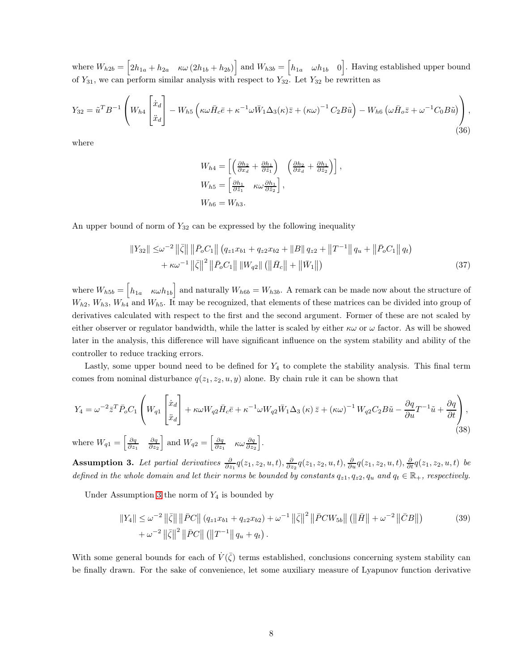where  $W_{h2b} = \begin{bmatrix} 2h_{1a} + h_{2a} & \kappa \omega (2h_{1b} + h_{2b}) \end{bmatrix}$  and  $W_{h3b} = \begin{bmatrix} h_{1a} & \omega h_{1b} & 0 \end{bmatrix}$ . Having established upper bound of  $Y_{31}$ , we can perform similar analysis with respect to  $Y_{32}$ . Let  $Y_{32}$  be rewritten as

$$
Y_{32} = \tilde{u}^T B^{-1} \left( W_{h4} \begin{bmatrix} \dot{x}_d \\ \ddot{x}_d \end{bmatrix} - W_{h5} \left( \kappa \omega \bar{H}_c \bar{e} + \kappa^{-1} \omega \bar{W}_1 \Delta_3(\kappa) \bar{z} + (\kappa \omega)^{-1} C_2 B \tilde{u} \right) - W_{h6} \left( \omega \bar{H}_o \bar{z} + \omega^{-1} C_0 B \tilde{u} \right) \right),
$$
\n(36)

where

$$
W_{h4} = \left[ \left( \frac{\partial h_2}{\partial x_d} + \frac{\partial h_1}{\partial \hat{z}_1} \right) \left( \frac{\partial h_2}{\partial \dot{x}_d} + \frac{\partial h_1}{\partial \hat{z}_2} \right) \right],
$$
  
\n
$$
W_{h5} = \left[ \frac{\partial h_1}{\partial \hat{z}_1} \quad \kappa \omega \frac{\partial h_1}{\partial \hat{z}_2} \right],
$$
  
\n
$$
W_{h6} = W_{h3}.
$$

An upper bound of norm of  $Y_{32}$  can be expressed by the following inequality

$$
||Y_{32}|| \leq \omega^{-2} ||\bar{\zeta}|| ||\bar{P}_o C_1|| (q_{z1}x_{b1} + q_{z2}x_{b2} + ||B|| q_{z2} + ||T^{-1}|| q_u + ||\bar{P}_o C_1|| q_t) + \kappa \omega^{-1} ||\bar{\zeta}||^2 ||\bar{P}_o C_1|| ||W_{q2}|| (||\bar{H}_c|| + ||\bar{W}_1||)
$$
\n(37)

where  $W_{h5b} = \begin{bmatrix} h_{1a} & \kappa \omega h_{1b} \end{bmatrix}$  and naturally  $W_{h6b} = W_{h3b}$ . A remark can be made now about the structure of  $W_{h2}$ ,  $W_{h3}$ ,  $W_{h4}$  and  $W_{h5}$ . It may be recognized, that elements of these matrices can be divided into group of derivatives calculated with respect to the first and the second argument. Former of these are not scaled by either observer or regulator bandwidth, while the latter is scaled by either  $\kappa\omega$  or  $\omega$  factor. As will be showed later in the analysis, this difference will have significant influence on the system stability and ability of the controller to reduce tracking errors.

Lastly, some upper bound need to be defined for  $Y_4$  to complete the stability analysis. This final term comes from nominal disturbance  $q(z_1, z_2, u, y)$  alone. By chain rule it can be shown that

$$
Y_4 = \omega^{-2} \bar{z}^T \bar{P}_o C_1 \left( W_{q1} \begin{bmatrix} \dot{x}_d \\ \ddot{x}_d \end{bmatrix} + \kappa \omega W_{q2} \bar{H}_c \bar{e} + \kappa^{-1} \omega W_{q2} \bar{W}_1 \Delta_3 \left( \kappa \right) \bar{z} + \left( \kappa \omega \right)^{-1} W_{q2} C_2 B \tilde{u} - \frac{\partial q}{\partial u} T^{-1} \tilde{u} + \frac{\partial q}{\partial t} \right),
$$
  
where  $W_{q1} = \begin{bmatrix} \frac{\partial q}{\partial z_1} & \frac{\partial q}{\partial z_2} \end{bmatrix}$  and  $W_{q2} = \begin{bmatrix} \frac{\partial q}{\partial z_1} & \kappa \omega \frac{\partial q}{\partial z_2} \end{bmatrix}$ . (38)

<span id="page-7-0"></span>**Assumption 3.** Let partial derivatives  $\frac{\partial}{\partial z_1}q(z_1, z_2, u, t), \frac{\partial}{\partial z_2}q(z_1, z_2, u, t), \frac{\partial}{\partial u}q(z_1, z_2, u, t), \frac{\partial}{\partial t}q(z_1, z_2, u, t)$  be defined in the whole domain and let their norms be bounded by constants  $q_{z1}, q_{z2}, q_u$  and  $q_t \in \mathbb{R}_+$ , respectively.

Under Assumption [3](#page-7-0) the norm of  $Y_4$  is bounded by

$$
||Y_4|| \le \omega^{-2} ||\bar{\zeta}|| \, ||\bar{P}C|| \, (q_{z1}x_{b1} + q_{z2}x_{b2}) + \omega^{-1} ||\bar{\zeta}||^2 \, ||\bar{P}CW_{5b}|| \, (||\bar{H}|| + \omega^{-2} ||\bar{C}B||) \tag{39}
$$

$$
+ \omega^{-2} ||\bar{\zeta}||^2 \, ||\bar{P}C|| \, (||T^{-1}|| \, q_u + q_t) \, .
$$

With some general bounds for each of  $\dot{V}(\bar{\zeta})$  terms established, conclusions concerning system stability can be finally drawn. For the sake of convenience, let some auxiliary measure of Lyapunov function derivative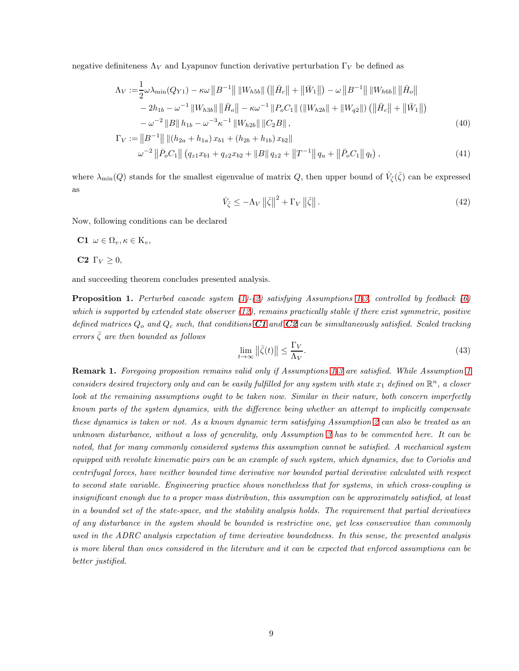negative definiteness  $\Lambda_V$  and Lyapunov function derivative perturbation  $\Gamma_V$  be defined as

$$
\Lambda_V := \frac{1}{2} \omega \lambda_{\min}(Q_{Y1}) - \kappa \omega \left\| B^{-1} \right\| \left\| W_{h5b} \right\| \left( \left\| \bar{H}_c \right\| + \left\| \bar{W}_1 \right\| \right) - \omega \left\| B^{-1} \right\| \left\| W_{h6b} \right\| \left\| \bar{H}_o \right\|
$$
  
\n
$$
- 2h_{1b} - \omega^{-1} \left\| W_{h3b} \right\| \left\| \bar{H}_o \right\| - \kappa \omega^{-1} \left\| P_o C_1 \right\| \left( \left\| W_{h2b} \right\| + \left\| W_{q2} \right\| \right) \left( \left\| \bar{H}_c \right\| + \left\| \bar{W}_1 \right\| \right)
$$
  
\n
$$
- \omega^{-2} \left\| B \right\| h_{1b} - \omega^{-3} \kappa^{-1} \left\| W_{h2b} \right\| \left\| C_2 B \right\| , \tag{40}
$$

$$
\Gamma_V := ||B^{-1}|| ||(h_{2a} + h_{1a}) x_{b1} + (h_{2b} + h_{1b}) x_{b2}||
$$
  

$$
\omega^{-2} ||\bar{P}_o C_1|| (q_{z1} x_{b1} + q_{z2} x_{b2} + ||B|| q_{z2} + ||T^{-1}|| q_u + ||\bar{P}_o C_1|| q_t),
$$
\n(41)

where  $\lambda_{\min}(Q)$  stands for the smallest eigenvalue of matrix Q, then upper bound of  $\dot{V}_{\bar{\zeta}}(\bar{\zeta})$  can be expressed as

<span id="page-8-3"></span>
$$
\dot{V}_{\bar{\zeta}} \le -\Lambda_V \left\| \bar{\zeta} \right\|^2 + \Gamma_V \left\| \bar{\zeta} \right\|.
$$
\n(42)

<span id="page-8-0"></span>Now, following conditions can be declared

<span id="page-8-1"></span>C1  $\omega \in \Omega_v, \kappa \in \mathrm{K}_v,$ 

C2  $\Gamma_V > 0$ ,

and succeeding theorem concludes presented analysis.

**Proposition [1](#page-6-0).** Perturbed cascade system  $(1)-(2)$  $(1)-(2)$  satisfying Assumptions 1[-3,](#page-7-0) controlled by feedback  $(6)$ which is supported by extended state observer  $(12)$ , remains practically stable if there exist symmetric, positive defined matrices  $Q_o$  and  $Q_c$  such, that conditions  $C1$  and  $C2$  can be simultaneously satisfied. Scaled tracking errors  $\bar{\zeta}$  are then bounded as follows

<span id="page-8-2"></span>
$$
\lim_{t \to \infty} \left\| \bar{\zeta}(t) \right\| \le \frac{\Gamma_V}{\Lambda_V}.\tag{43}
$$

Remark 1. Foregoing proposition remains valid only if Assumptions [1-](#page-6-0)[3](#page-7-0) are satisfied. While Assumption [1](#page-6-0) considers desired trajectory only and can be easily fulfilled for any system with state  $x_1$  defined on  $\mathbb{R}^n$ , a closer look at the remaining assumptions ought to be taken now. Similar in their nature, both concern imperfectly known parts of the system dynamics, with the difference being whether an attempt to implicitly compensate these dynamics is taken or not. As a known dynamic term satisfying Assumption [2](#page-6-1) can also be treated as an unknown disturbance, without a loss of generality, only Assumption [3](#page-7-0) has to be commented here. It can be noted, that for many commonly considered systems this assumption cannot be satisfied. A mechanical system equipped with revolute kinematic pairs can be an example of such system, which dynamics, due to Coriolis and centrifugal forces, have neither bounded time derivative nor bounded partial derivative calculated with respect to second state variable. Engineering practice shows nonetheless that for systems, in which cross-coupling is insignificant enough due to a proper mass distribution, this assumption can be approximately satisfied, at least in a bounded set of the state-space, and the stability analysis holds. The requirement that partial derivatives of any disturbance in the system should be bounded is restrictive one, yet less conservative than commonly used in the ADRC analysis expectation of time derivative boundedness. In this sense, the presented analysis is more liberal than ones considered in the literature and it can be expected that enforced assumptions can be better justified.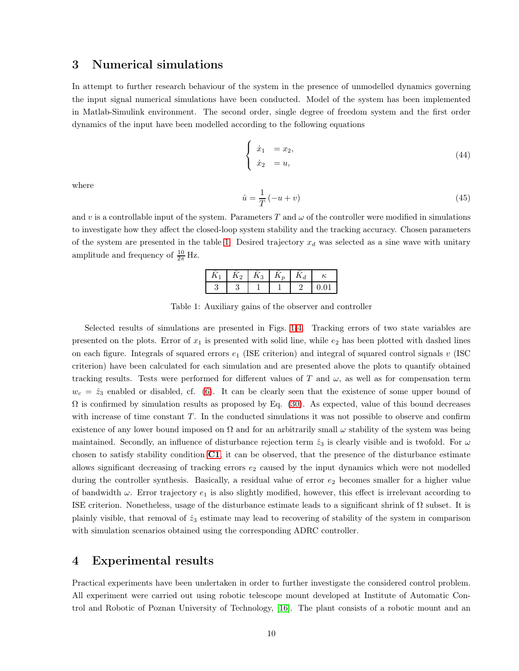## 3 Numerical simulations

In attempt to further research behaviour of the system in the presence of unmodelled dynamics governing the input signal numerical simulations have been conducted. Model of the system has been implemented in Matlab-Simulink environment. The second order, single degree of freedom system and the first order dynamics of the input have been modelled according to the following equations

$$
\begin{cases}\n\dot{x}_1 = x_2, \\
\dot{x}_2 = u,\n\end{cases}
$$
\n(44)

where

$$
\dot{u} = \frac{1}{T}(-u+v) \tag{45}
$$

<span id="page-9-0"></span>and v is a controllable input of the system. Parameters T and  $\omega$  of the controller were modified in simulations to investigate how they affect the closed-loop system stability and the tracking accuracy. Chosen parameters of the system are presented in the table [1.](#page-9-0) Desired trajectory  $x_d$  was selected as a sine wave with unitary amplitude and frequency of  $\frac{10}{2\pi}$  Hz.

| $\Omega$<br>Ω. | $\Omega$<br>11. |  | υ |
|----------------|-----------------|--|---|
|                |                 |  | ◡ |

Table 1: Auxiliary gains of the observer and controller

Selected results of simulations are presented in Figs. [1](#page-10-0)[-4.](#page-11-0) Tracking errors of two state variables are presented on the plots. Error of  $x_1$  is presented with solid line, while  $e_2$  has been plotted with dashed lines on each figure. Integrals of squared errors  $e_1$  (ISE criterion) and integral of squared control signals v (ISC criterion) have been calculated for each simulation and are presented above the plots to quantify obtained tracking results. Tests were performed for different values of T and  $\omega$ , as well as for compensation term  $w_c = \hat{z}_3$  enabled or disabled, cf. [\(6\)](#page-2-4). It can be clearly seen that the existence of some upper bound of  $\Omega$  is confirmed by simulation results as proposed by Eq. [\(30\)](#page-5-2). As expected, value of this bound decreases with increase of time constant  $T$ . In the conducted simulations it was not possible to observe and confirm existence of any lower bound imposed on  $\Omega$  and for an arbitrarily small  $\omega$  stability of the system was being maintained. Secondly, an influence of disturbance rejection term  $\hat{z}_3$  is clearly visible and is twofold. For  $\omega$ chosen to satisfy stability condition  $C1$ , it can be observed, that the presence of the disturbance estimate allows significant decreasing of tracking errors  $e_2$  caused by the input dynamics which were not modelled during the controller synthesis. Basically, a residual value of error  $e_2$  becomes smaller for a higher value of bandwidth  $\omega$ . Error trajectory  $e_1$  is also slightly modified, however, this effect is irrelevant according to ISE criterion. Nonetheless, usage of the disturbance estimate leads to a significant shrink of Ω subset. It is plainly visible, that removal of  $\hat{z}_3$  estimate may lead to recovering of stability of the system in comparison with simulation scenarios obtained using the corresponding ADRC controller.

## 4 Experimental results

Practical experiments have been undertaken in order to further investigate the considered control problem. All experiment were carried out using robotic telescope mount developed at Institute of Automatic Control and Robotic of Poznan University of Technology, [\[16\]](#page-16-13). The plant consists of a robotic mount and an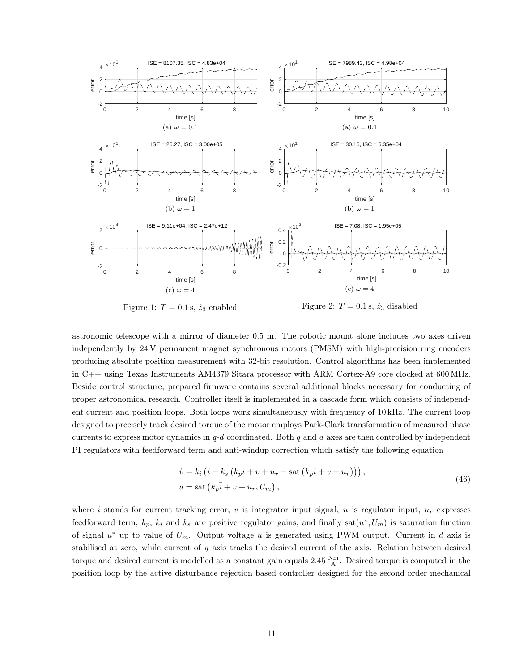<span id="page-10-0"></span>

Figure 1:  $T = 0.1$  s,  $\hat{z}_3$  enabled

Figure 2:  $T = 0.1$  s,  $\hat{z}_3$  disabled

astronomic telescope with a mirror of diameter 0.5 m. The robotic mount alone includes two axes driven independently by 24 V permanent magnet synchronous motors (PMSM) with high-precision ring encoders producing absolute position measurement with 32-bit resolution. Control algorithms has been implemented in C++ using Texas Instruments AM4379 Sitara processor with ARM Cortex-A9 core clocked at 600 MHz. Beside control structure, prepared firmware contains several additional blocks necessary for conducting of proper astronomical research. Controller itself is implemented in a cascade form which consists of independent current and position loops. Both loops work simultaneously with frequency of 10 kHz. The current loop designed to precisely track desired torque of the motor employs Park-Clark transformation of measured phase currents to express motor dynamics in  $q-d$  coordinated. Both q and d axes are then controlled by independent PI regulators with feedforward term and anti-windup correction which satisfy the following equation

$$
\dot{v} = k_i \left( \tilde{i} - k_s \left( k_p \tilde{i} + v + u_r - \text{sat} \left( k_p \tilde{i} + v + u_r \right) \right) \right),
$$
  
\n
$$
u = \text{sat} \left( k_p \tilde{i} + v + u_r, U_m \right),
$$
\n(46)

where  $\tilde{i}$  stands for current tracking error, v is integrator input signal, u is regulator input,  $u_r$  expresses feedforward term,  $k_p$ ,  $k_i$  and  $k_s$  are positive regulator gains, and finally sat $(u^*, U_m)$  is saturation function of signal  $u^*$  up to value of  $U_m$ . Output voltage u is generated using PWM output. Current in d axis is stabilised at zero, while current of  $q$  axis tracks the desired current of the axis. Relation between desired torque and desired current is modelled as a constant gain equals  $2.45 \frac{N_m}{A}$ . Desired torque is computed in the position loop by the active disturbance rejection based controller designed for the second order mechanical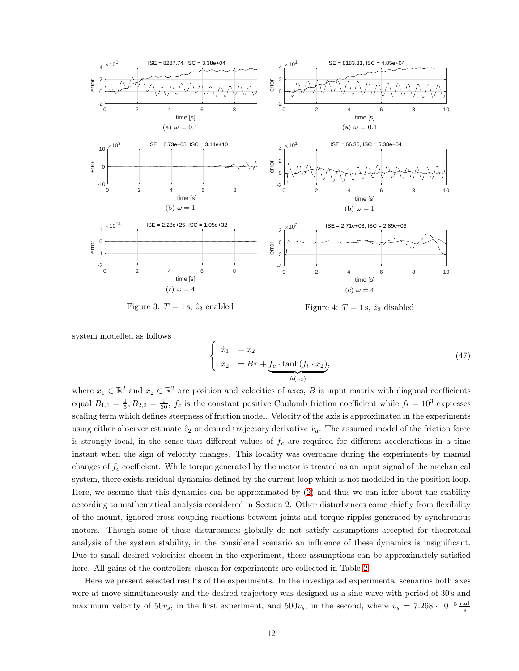<span id="page-11-0"></span>

Figure 3:  $T = 1$  s,  $\hat{z}_3$  enabled

Figure 4:  $T = 1$  s,  $\hat{z}_3$  disabled

system modelled as follows

$$
\begin{cases}\n\dot{x}_1 = x_2 \\
\dot{x}_2 = B\tau + \underbrace{f_c \cdot \tanh(f_t \cdot x_2)}_{h(x_2)},\n\end{cases} \tag{47}
$$

where  $x_1 \in \mathbb{R}^2$  and  $x_2 \in \mathbb{R}^2$  are position and velocities of axes, B is input matrix with diagonal coefficients equal  $B_{1,1} = \frac{1}{5}$ ,  $B_{2,2} = \frac{1}{30}$ ,  $f_c$  is the constant positive Coulomb friction coefficient while  $f_t = 10^3$  expresses scaling term which defines steepness of friction model. Velocity of the axis is approximated in the experiments using either observer estimate  $\hat{z}_2$  or desired trajectory derivative  $\dot{x}_d$ . The assumed model of the friction force is strongly local, in the sense that different values of  $f_c$  are required for different accelerations in a time instant when the sign of velocity changes. This locality was overcame during the experiments by manual changes of  $f_c$  coefficient. While torque generated by the motor is treated as an input signal of the mechanical system, there exists residual dynamics defined by the current loop which is not modelled in the position loop. Here, we assume that this dynamics can be approximated by [\(2\)](#page-2-1) and thus we can infer about the stability according to mathematical analysis considered in Section 2. Other disturbances come chiefly from flexibility of the mount, ignored cross-coupling reactions between joints and torque ripples generated by synchronous motors. Though some of these disturbances globally do not satisfy assumptions accepted for theoretical analysis of the system stability, in the considered scenario an influence of these dynamics is insignificant. Due to small desired velocities chosen in the experiment, these assumptions can be approximately satisfied here. All gains of the controllers chosen for experiments are collected in Table [2.](#page-12-0)

Here we present selected results of the experiments. In the investigated experimental scenarios both axes were at move simultaneously and the desired trajectory was designed as a sine wave with period of 30 s and maximum velocity of  $50v_s$ , in the first experiment, and  $500v_s$ , in the second, where  $v_s = 7.268 \cdot 10^{-5} \frac{\text{rad}}{\text{s}}$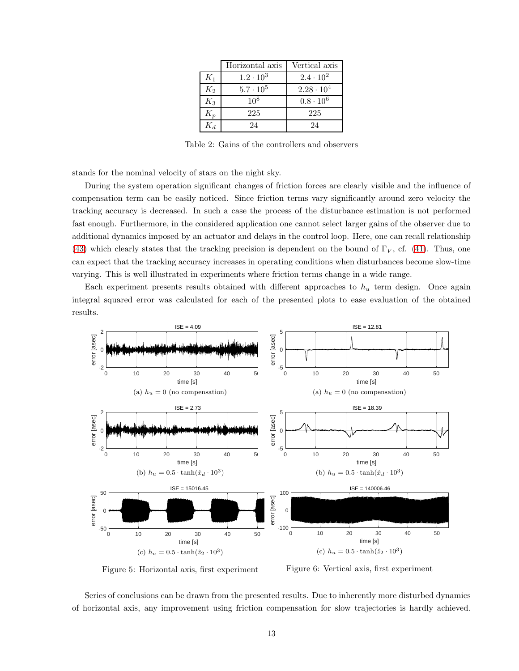|             | Horizontal axis  | Vertical axis       |  |  |  |
|-------------|------------------|---------------------|--|--|--|
| $K_1$       | $1.2 \cdot 10^3$ | $2.4 \cdot 10^{2}$  |  |  |  |
| $K_2$       | $5.7 \cdot 10^5$ | $2.28 \cdot 10^{4}$ |  |  |  |
| $K_3$       | $10^{8}$         | $0.8 \cdot 10^{6}$  |  |  |  |
| $K_{\bm p}$ | 225              | 225                 |  |  |  |
| K a         | 24               | 24                  |  |  |  |

Table 2: Gains of the controllers and observers

<span id="page-12-0"></span>stands for the nominal velocity of stars on the night sky.

During the system operation significant changes of friction forces are clearly visible and the influence of compensation term can be easily noticed. Since friction terms vary significantly around zero velocity the tracking accuracy is decreased. In such a case the process of the disturbance estimation is not performed fast enough. Furthermore, in the considered application one cannot select larger gains of the observer due to additional dynamics imposed by an actuator and delays in the control loop. Here, one can recall relationship [\(43\)](#page-8-2) which clearly states that the tracking precision is dependent on the bound of  $\Gamma_V$ , cf. [\(41\)](#page-8-3). Thus, one can expect that the tracking accuracy increases in operating conditions when disturbances become slow-time varying. This is well illustrated in experiments where friction terms change in a wide range.

Each experiment presents results obtained with different approaches to  $h_u$  term design. Once again integral squared error was calculated for each of the presented plots to ease evaluation of the obtained results.



Figure 5: Horizontal axis, first experiment

Figure 6: Vertical axis, first experiment

Series of conclusions can be drawn from the presented results. Due to inherently more disturbed dynamics of horizontal axis, any improvement using friction compensation for slow trajectories is hardly achieved.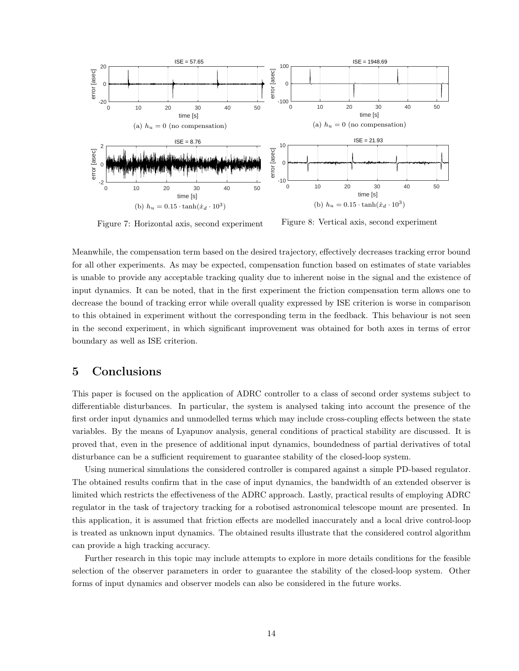

Figure 7: Horizontal axis, second experiment

Figure 8: Vertical axis, second experiment

Meanwhile, the compensation term based on the desired trajectory, effectively decreases tracking error bound for all other experiments. As may be expected, compensation function based on estimates of state variables is unable to provide any acceptable tracking quality due to inherent noise in the signal and the existence of input dynamics. It can be noted, that in the first experiment the friction compensation term allows one to decrease the bound of tracking error while overall quality expressed by ISE criterion is worse in comparison to this obtained in experiment without the corresponding term in the feedback. This behaviour is not seen in the second experiment, in which significant improvement was obtained for both axes in terms of error boundary as well as ISE criterion.

## 5 Conclusions

This paper is focused on the application of ADRC controller to a class of second order systems subject to differentiable disturbances. In particular, the system is analysed taking into account the presence of the first order input dynamics and unmodelled terms which may include cross-coupling effects between the state variables. By the means of Lyapunov analysis, general conditions of practical stability are discussed. It is proved that, even in the presence of additional input dynamics, boundedness of partial derivatives of total disturbance can be a sufficient requirement to guarantee stability of the closed-loop system.

Using numerical simulations the considered controller is compared against a simple PD-based regulator. The obtained results confirm that in the case of input dynamics, the bandwidth of an extended observer is limited which restricts the effectiveness of the ADRC approach. Lastly, practical results of employing ADRC regulator in the task of trajectory tracking for a robotised astronomical telescope mount are presented. In this application, it is assumed that friction effects are modelled inaccurately and a local drive control-loop is treated as unknown input dynamics. The obtained results illustrate that the considered control algorithm can provide a high tracking accuracy.

Further research in this topic may include attempts to explore in more details conditions for the feasible selection of the observer parameters in order to guarantee the stability of the closed-loop system. Other forms of input dynamics and observer models can also be considered in the future works.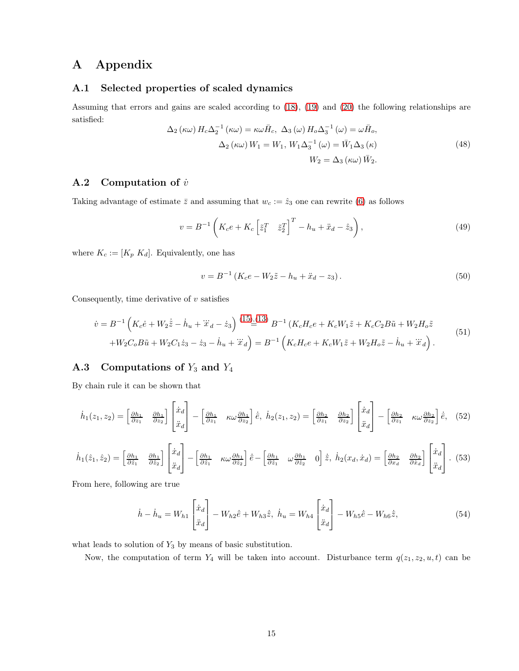## A Appendix

#### A.1 Selected properties of scaled dynamics

Assuming that errors and gains are scaled according to [\(18\)](#page-4-2), [\(19\)](#page-4-3) and [\(20\)](#page-4-4) the following relationships are satisfied:

<span id="page-14-0"></span>
$$
\Delta_2 (\kappa \omega) H_c \Delta_2^{-1} (\kappa \omega) = \kappa \omega \bar{H}_c, \ \Delta_3 (\omega) H_o \Delta_3^{-1} (\omega) = \omega \bar{H}_o,
$$
  

$$
\Delta_2 (\kappa \omega) W_1 = W_1, W_1 \Delta_3^{-1} (\omega) = \bar{W}_1 \Delta_3 (\kappa)
$$
  

$$
W_2 = \Delta_3 (\kappa \omega) \bar{W}_2.
$$
 (48)

#### A.2 Computation of  $\dot{v}$

Taking advantage of estimate  $\bar{z}$  and assuming that  $w_c := \hat{z}_3$  one can rewrite [\(6\)](#page-2-4) as follows

$$
v = B^{-1} \left( K_c e + K_c \left[ \tilde{z}_1^T \quad \tilde{z}_2^T \right]^T - h_u + \ddot{x}_d - \hat{z}_3 \right), \tag{49}
$$

where  $K_c := [K_p \; K_d]$ . Equivalently, one has

$$
v = B^{-1} \left( K_c e - W_2 \tilde{z} - h_u + \ddot{x}_d - z_3 \right).
$$
 (50)

Consequently, time derivative of  $v$  satisfies

$$
\dot{v} = B^{-1} \left( K_c \dot{e} + W_2 \dot{\tilde{z}} - \dot{h}_u + \ddot{x}_d - \dot{z}_3 \right) \stackrel{(15)}{=} (13) \, B^{-1} \left( K_c H_c e + K_c W_1 \tilde{z} + K_c C_2 B \tilde{u} + W_2 H_o \tilde{z} \right) \n+ W_2 C_o B \tilde{u} + W_2 C_1 \dot{z}_3 - \dot{z}_3 - \dot{h}_u + \ddot{x}_d \right) = B^{-1} \left( K_c H_c e + K_c W_1 \tilde{z} + W_2 H_o \tilde{z} - \dot{h}_u + \ddot{x}_d \right).
$$
\n(51)

### A.3 Computations of  $Y_3$  and  $Y_4$

By chain rule it can be shown that

$$
\dot{h}_1(z_1, z_2) = \begin{bmatrix} \frac{\partial h_1}{\partial z_1} & \frac{\partial h_1}{\partial z_2} \end{bmatrix} \begin{bmatrix} \dot{x}_d \\ \ddots \\ \dot{x}_d \end{bmatrix} - \begin{bmatrix} \frac{\partial h_1}{\partial z_1} & \kappa \omega \frac{\partial h_1}{\partial z_2} \end{bmatrix} \dot{\vec{e}}, \ \dot{h}_2(z_1, z_2) = \begin{bmatrix} \frac{\partial h_2}{\partial z_1} & \frac{\partial h_2}{\partial z_2} \end{bmatrix} \begin{bmatrix} \dot{x}_d \\ \ddots \\ \dot{x}_d \end{bmatrix} - \begin{bmatrix} \frac{\partial h_2}{\partial z_1} & \kappa \omega \frac{\partial h_2}{\partial z_2} \end{bmatrix} \dot{\vec{e}}, \ (52)
$$

$$
\dot{h}_1(\hat{z}_1, \hat{z}_2) = \begin{bmatrix} \frac{\partial h_1}{\partial \hat{z}_1} & \frac{\partial h_1}{\partial \hat{z}_2} \end{bmatrix} \begin{bmatrix} \dot{x}_d \\ \ddots \\ \dot{x}_d \end{bmatrix} - \begin{bmatrix} \frac{\partial h_1}{\partial \hat{z}_1} & \kappa \omega \frac{\partial h_1}{\partial \hat{z}_2} \end{bmatrix} \dot{\vec{e}} - \begin{bmatrix} \frac{\partial h_1}{\partial \hat{z}_1} & \omega \frac{\partial h_1}{\partial \hat{z}_2} & 0 \end{bmatrix} \dot{\vec{z}}, \ \dot{h}_2(x_d, \dot{x}_d) = \begin{bmatrix} \frac{\partial h_2}{\partial x_d} & \frac{\partial h_2}{\partial \hat{z}_d} \end{bmatrix} \begin{bmatrix} \dot{x}_d \\ \ddots \\ \dot{x}_d \end{bmatrix} . \tag{53}
$$

From here, following are true

$$
\dot{h} - \dot{h}_u = W_{h1} \begin{bmatrix} \dot{x}_d \\ \ddot{x}_d \end{bmatrix} - W_{h2} \dot{\bar{e}} + W_{h3} \dot{\bar{z}}, \ \dot{h}_u = W_{h4} \begin{bmatrix} \dot{x}_d \\ \ddot{x}_d \end{bmatrix} - W_{h5} \dot{\bar{e}} - W_{h6} \dot{\bar{z}}, \tag{54}
$$

what leads to solution of  $Y_3$  by means of basic substitution.

Now, the computation of term  $Y_4$  will be taken into account. Disturbance term  $q(z_1, z_2, u, t)$  can be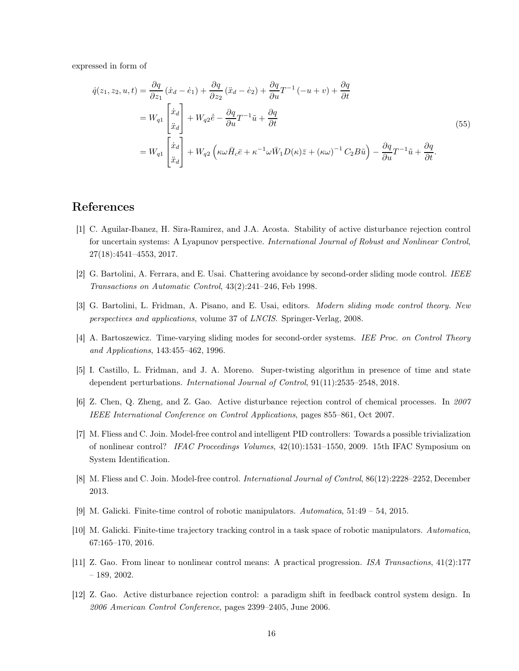expressed in form of

$$
\dot{q}(z_1, z_2, u, t) = \frac{\partial q}{\partial z_1} (\dot{x}_d - \dot{e}_1) + \frac{\partial q}{\partial z_2} (\ddot{x}_d - \dot{e}_2) + \frac{\partial q}{\partial u} T^{-1} (-u + v) + \frac{\partial q}{\partial t}
$$
\n
$$
= W_{q1} \begin{bmatrix} \dot{x}_d \\ \ddot{x}_d \end{bmatrix} + W_{q2} \dot{\bar{e}} - \frac{\partial q}{\partial u} T^{-1} \tilde{u} + \frac{\partial q}{\partial t}
$$
\n
$$
= W_{q1} \begin{bmatrix} \dot{x}_d \\ \ddot{x}_d \end{bmatrix} + W_{q2} \left( \kappa \omega \bar{H}_c \bar{e} + \kappa^{-1} \omega \bar{W}_1 D(\kappa) \bar{z} + (\kappa \omega)^{-1} C_2 B \tilde{u} \right) - \frac{\partial q}{\partial u} T^{-1} \tilde{u} + \frac{\partial q}{\partial t}.
$$
\n(55)

## <span id="page-15-11"></span>References

- [1] C. Aguilar-Ibanez, H. Sira-Ramirez, and J.A. Acosta. Stability of active disturbance rejection control for uncertain systems: A Lyapunov perspective. International Journal of Robust and Nonlinear Control, 27(18):4541–4553, 2017.
- <span id="page-15-7"></span><span id="page-15-5"></span>[2] G. Bartolini, A. Ferrara, and E. Usai. Chattering avoidance by second-order sliding mode control. IEEE Transactions on Automatic Control, 43(2):241–246, Feb 1998.
- <span id="page-15-6"></span>[3] G. Bartolini, L. Fridman, A. Pisano, and E. Usai, editors. Modern sliding mode control theory. New perspectives and applications, volume 37 of LNCIS. Springer-Verlag, 2008.
- <span id="page-15-8"></span>[4] A. Bartoszewicz. Time-varying sliding modes for second-order systems. IEE Proc. on Control Theory and Applications, 143:455–462, 1996.
- <span id="page-15-4"></span>[5] I. Castillo, L. Fridman, and J. A. Moreno. Super-twisting algorithm in presence of time and state dependent perturbations. International Journal of Control, 91(11):2535–2548, 2018.
- <span id="page-15-0"></span>[6] Z. Chen, Q. Zheng, and Z. Gao. Active disturbance rejection control of chemical processes. In 2007 IEEE International Conference on Control Applications, pages 855–861, Oct 2007.
- [7] M. Fliess and C. Join. Model-free control and intelligent PID controllers: Towards a possible trivialization of nonlinear control? IFAC Proceedings Volumes, 42(10):1531–1550, 2009. 15th IFAC Symposium on System Identification.
- <span id="page-15-9"></span><span id="page-15-1"></span>[8] M. Fliess and C. Join. Model-free control. *International Journal of Control*, 86(12):2228–2252, December 2013.
- <span id="page-15-10"></span>[9] M. Galicki. Finite-time control of robotic manipulators. Automatica, 51:49 – 54, 2015.
- <span id="page-15-2"></span>[10] M. Galicki. Finite-time trajectory tracking control in a task space of robotic manipulators. Automatica, 67:165–170, 2016.
- <span id="page-15-3"></span>[11] Z. Gao. From linear to nonlinear control means: A practical progression. ISA Transactions, 41(2):177 – 189, 2002.
- [12] Z. Gao. Active disturbance rejection control: a paradigm shift in feedback control system design. In 2006 American Control Conference, pages 2399–2405, June 2006.